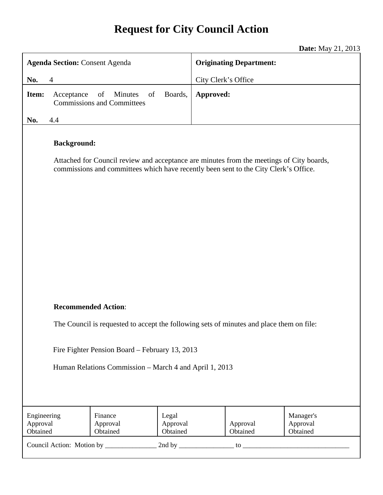# **Request for City Council Action**

**Date:** May 21, 2013

|                                                                                                                                                                                                        |                                                          |                               |                                |                      | <b>Daw.</b> May $\angle 1, \angle 01$ |
|--------------------------------------------------------------------------------------------------------------------------------------------------------------------------------------------------------|----------------------------------------------------------|-------------------------------|--------------------------------|----------------------|---------------------------------------|
| <b>Agenda Section: Consent Agenda</b>                                                                                                                                                                  |                                                          |                               | <b>Originating Department:</b> |                      |                                       |
| $\overline{4}$<br>No.                                                                                                                                                                                  |                                                          |                               | City Clerk's Office            |                      |                                       |
| Item:<br>Acceptance                                                                                                                                                                                    | of<br>Minutes<br>of<br><b>Commissions and Committees</b> | Boards,                       | Approved:                      |                      |                                       |
| No.<br>4.4                                                                                                                                                                                             |                                                          |                               |                                |                      |                                       |
| <b>Background:</b><br>Attached for Council review and acceptance are minutes from the meetings of City boards,<br>commissions and committees which have recently been sent to the City Clerk's Office. |                                                          |                               |                                |                      |                                       |
| <b>Recommended Action:</b>                                                                                                                                                                             |                                                          |                               |                                |                      |                                       |
| The Council is requested to accept the following sets of minutes and place them on file:                                                                                                               |                                                          |                               |                                |                      |                                       |
| Fire Fighter Pension Board – February 13, 2013<br>Human Relations Commission - March 4 and April 1, 2013                                                                                               |                                                          |                               |                                |                      |                                       |
| Engineering<br>Approval<br>Obtained                                                                                                                                                                    | Finance<br>Approval<br>Obtained                          | Legal<br>Approval<br>Obtained |                                | Approval<br>Obtained | Manager's<br>Approval<br>Obtained     |
|                                                                                                                                                                                                        |                                                          |                               |                                |                      |                                       |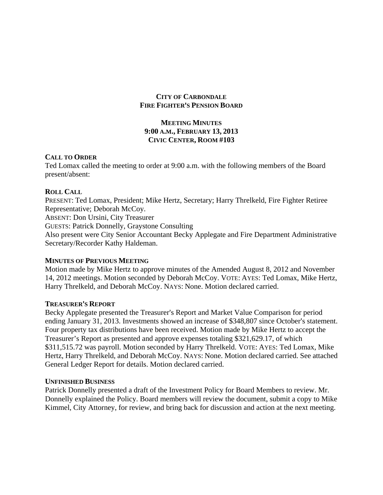## **CITY OF CARBONDALE FIRE FIGHTER'S PENSION BOARD**

# **MEETING MINUTES 9:00 A.M., FEBRUARY 13, 2013 CIVIC CENTER, ROOM #103**

#### **CALL TO ORDER**

Ted Lomax called the meeting to order at 9:00 a.m. with the following members of the Board present/absent:

#### **ROLL CALL**

PRESENT: Ted Lomax, President; Mike Hertz, Secretary; Harry Threlkeld, Fire Fighter Retiree Representative; Deborah McCoy. ABSENT: Don Ursini, City Treasurer GUESTS: Patrick Donnelly, Graystone Consulting Also present were City Senior Accountant Becky Applegate and Fire Department Administrative Secretary/Recorder Kathy Haldeman.

#### **MINUTES OF PREVIOUS MEETING**

Motion made by Mike Hertz to approve minutes of the Amended August 8, 2012 and November 14, 2012 meetings. Motion seconded by Deborah McCoy. VOTE: AYES: Ted Lomax, Mike Hertz, Harry Threlkeld, and Deborah McCoy. NAYS: None. Motion declared carried.

#### **TREASURER**=**S REPORT**

Becky Applegate presented the Treasurer's Report and Market Value Comparison for period ending January 31, 2013. Investments showed an increase of \$348,807 since October's statement. Four property tax distributions have been received. Motion made by Mike Hertz to accept the Treasurer's Report as presented and approve expenses totaling \$321,629.17, of which \$311,515.72 was payroll. Motion seconded by Harry Threlkeld. VOTE: AYES: Ted Lomax, Mike Hertz, Harry Threlkeld, and Deborah McCoy. NAYS: None. Motion declared carried. See attached General Ledger Report for details. Motion declared carried.

#### **UNFINISHED BUSINESS**

Patrick Donnelly presented a draft of the Investment Policy for Board Members to review. Mr. Donnelly explained the Policy. Board members will review the document, submit a copy to Mike Kimmel, City Attorney, for review, and bring back for discussion and action at the next meeting.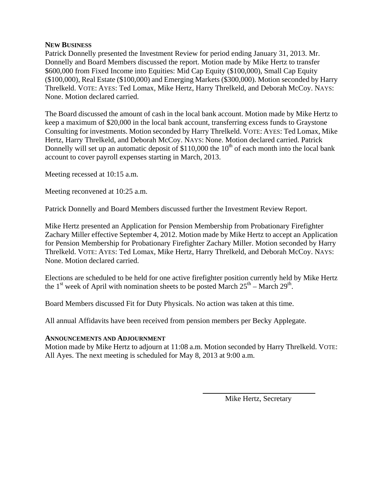# **NEW BUSINESS**

Patrick Donnelly presented the Investment Review for period ending January 31, 2013. Mr. Donnelly and Board Members discussed the report. Motion made by Mike Hertz to transfer \$600,000 from Fixed Income into Equities: Mid Cap Equity (\$100,000), Small Cap Equity (\$100,000), Real Estate (\$100,000) and Emerging Markets (\$300,000). Motion seconded by Harry Threlkeld. VOTE: AYES: Ted Lomax, Mike Hertz, Harry Threlkeld, and Deborah McCoy. NAYS: None. Motion declared carried.

The Board discussed the amount of cash in the local bank account. Motion made by Mike Hertz to keep a maximum of \$20,000 in the local bank account, transferring excess funds to Graystone Consulting for investments. Motion seconded by Harry Threlkeld. VOTE: AYES: Ted Lomax, Mike Hertz, Harry Threlkeld, and Deborah McCoy. NAYS: None. Motion declared carried. Patrick Donnelly will set up an automatic deposit of  $$110,000$  the  $10<sup>th</sup>$  of each month into the local bank account to cover payroll expenses starting in March, 2013.

Meeting recessed at 10:15 a.m.

Meeting reconvened at 10:25 a.m.

Patrick Donnelly and Board Members discussed further the Investment Review Report.

Mike Hertz presented an Application for Pension Membership from Probationary Firefighter Zachary Miller effective September 4, 2012. Motion made by Mike Hertz to accept an Application for Pension Membership for Probationary Firefighter Zachary Miller. Motion seconded by Harry Threlkeld. VOTE: AYES: Ted Lomax, Mike Hertz, Harry Threlkeld, and Deborah McCoy. NAYS: None. Motion declared carried.

Elections are scheduled to be held for one active firefighter position currently held by Mike Hertz the 1<sup>st</sup> week of April with nomination sheets to be posted March  $25<sup>th</sup>$  – March  $29<sup>th</sup>$ .

Board Members discussed Fit for Duty Physicals. No action was taken at this time.

All annual Affidavits have been received from pension members per Becky Applegate.

#### **ANNOUNCEMENTS AND ADJOURNMENT**

Motion made by Mike Hertz to adjourn at 11:08 a.m. Motion seconded by Harry Threlkeld. VOTE: All Ayes. The next meeting is scheduled for May 8, 2013 at 9:00 a.m.

Mike Hertz, Secretary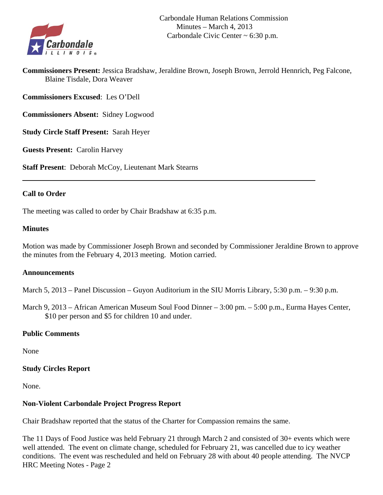

**Commissioners Present:** Jessica Bradshaw, Jeraldine Brown, Joseph Brown, Jerrold Hennrich, Peg Falcone, Blaine Tisdale, Dora Weaver

**Commissioners Excused**: Les O'Dell

**Commissioners Absent:** Sidney Logwood

**Study Circle Staff Present:** Sarah Heyer

**Guests Present:** Carolin Harvey

**Staff Present**: Deborah McCoy, Lieutenant Mark Stearns

#### **Call to Order**

The meeting was called to order by Chair Bradshaw at 6:35 p.m.

#### **Minutes**

Motion was made by Commissioner Joseph Brown and seconded by Commissioner Jeraldine Brown to approve the minutes from the February 4, 2013 meeting. Motion carried.

#### **Announcements**

March 5, 2013 – Panel Discussion – Guyon Auditorium in the SIU Morris Library, 5:30 p.m. – 9:30 p.m.

March 9, 2013 – African American Museum Soul Food Dinner – 3:00 pm. – 5:00 p.m., Eurma Hayes Center, \$10 per person and \$5 for children 10 and under.

## **Public Comments**

None

#### **Study Circles Report**

None.

#### **Non-Violent Carbondale Project Progress Report**

Chair Bradshaw reported that the status of the Charter for Compassion remains the same.

The 11 Days of Food Justice was held February 21 through March 2 and consisted of 30+ events which were well attended. The event on climate change, scheduled for February 21, was cancelled due to icy weather conditions. The event was rescheduled and held on February 28 with about 40 people attending. The NVCP HRC Meeting Notes - Page 2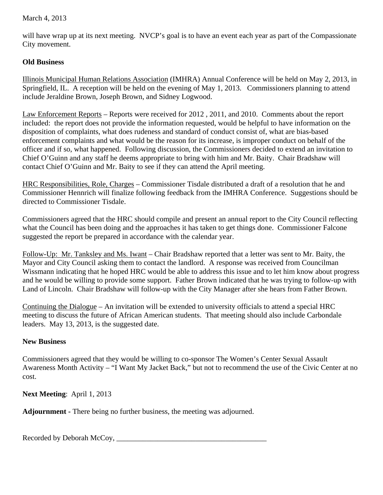# March 4, 2013

will have wrap up at its next meeting. NVCP's goal is to have an event each year as part of the Compassionate City movement.

# **Old Business**

Illinois Municipal Human Relations Association (IMHRA) Annual Conference will be held on May 2, 2013, in Springfield, IL. A reception will be held on the evening of May 1, 2013. Commissioners planning to attend include Jeraldine Brown, Joseph Brown, and Sidney Logwood.

Law Enforcement Reports – Reports were received for 2012 , 2011, and 2010. Comments about the report included: the report does not provide the information requested, would be helpful to have information on the disposition of complaints, what does rudeness and standard of conduct consist of, what are bias-based enforcement complaints and what would be the reason for its increase, is improper conduct on behalf of the officer and if so, what happened. Following discussion, the Commissioners decided to extend an invitation to Chief O'Guinn and any staff he deems appropriate to bring with him and Mr. Baity. Chair Bradshaw will contact Chief O'Guinn and Mr. Baity to see if they can attend the April meeting.

HRC Responsibilities, Role, Charges – Commissioner Tisdale distributed a draft of a resolution that he and Commissioner Hennrich will finalize following feedback from the IMHRA Conference. Suggestions should be directed to Commissioner Tisdale.

Commissioners agreed that the HRC should compile and present an annual report to the City Council reflecting what the Council has been doing and the approaches it has taken to get things done. Commissioner Falcone suggested the report be prepared in accordance with the calendar year.

Follow-Up: Mr. Tanksley and Ms. Iwant – Chair Bradshaw reported that a letter was sent to Mr. Baity, the Mayor and City Council asking them to contact the landlord. A response was received from Councilman Wissmann indicating that he hoped HRC would be able to address this issue and to let him know about progress and he would be willing to provide some support. Father Brown indicated that he was trying to follow-up with Land of Lincoln. Chair Bradshaw will follow-up with the City Manager after she hears from Father Brown.

Continuing the Dialogue – An invitation will be extended to university officials to attend a special HRC meeting to discuss the future of African American students. That meeting should also include Carbondale leaders. May 13, 2013, is the suggested date.

#### **New Business**

Commissioners agreed that they would be willing to co-sponsor The Women's Center Sexual Assault Awareness Month Activity – "I Want My Jacket Back," but not to recommend the use of the Civic Center at no cost.

**Next Meeting**: April 1, 2013

**Adjournment -** There being no further business, the meeting was adjourned.

Recorded by Deborah McCoy, \_\_\_\_\_\_\_\_\_\_\_\_\_\_\_\_\_\_\_\_\_\_\_\_\_\_\_\_\_\_\_\_\_\_\_\_\_\_\_\_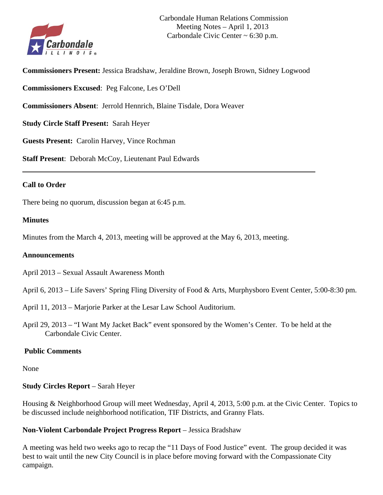

**Commissioners Present:** Jessica Bradshaw, Jeraldine Brown, Joseph Brown, Sidney Logwood

**Commissioners Excused**: Peg Falcone, Les O'Dell

**Commissioners Absent**: Jerrold Hennrich, Blaine Tisdale, Dora Weaver

**Study Circle Staff Present:** Sarah Heyer

**Guests Present:** Carolin Harvey, Vince Rochman

**Staff Present**: Deborah McCoy, Lieutenant Paul Edwards

# **Call to Order**

There being no quorum, discussion began at 6:45 p.m.

# **Minutes**

Minutes from the March 4, 2013, meeting will be approved at the May 6, 2013, meeting.

## **Announcements**

April 2013 – Sexual Assault Awareness Month

April 6, 2013 – Life Savers' Spring Fling Diversity of Food & Arts, Murphysboro Event Center, 5:00-8:30 pm.

April 11, 2013 – Marjorie Parker at the Lesar Law School Auditorium.

April 29, 2013 – "I Want My Jacket Back" event sponsored by the Women's Center. To be held at the Carbondale Civic Center.

# **Public Comments**

None

# **Study Circles Report** – Sarah Heyer

Housing & Neighborhood Group will meet Wednesday, April 4, 2013, 5:00 p.m. at the Civic Center. Topics to be discussed include neighborhood notification, TIF Districts, and Granny Flats.

# **Non-Violent Carbondale Project Progress Report** – Jessica Bradshaw

A meeting was held two weeks ago to recap the "11 Days of Food Justice" event. The group decided it was best to wait until the new City Council is in place before moving forward with the Compassionate City campaign.